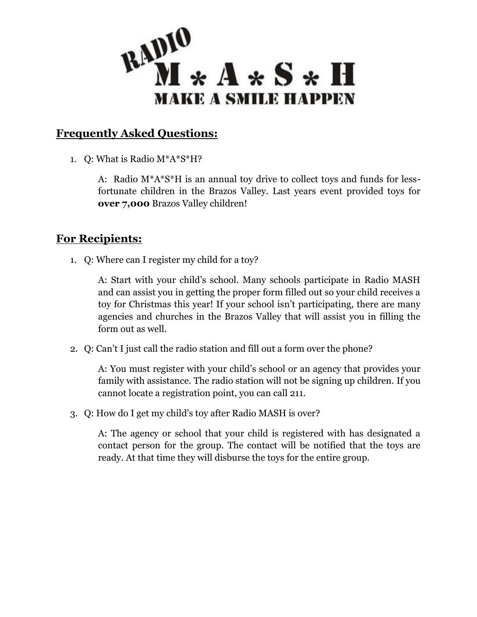

## **Frequently Asked Questions:**

1. Q: What is Radio M\*A\*S\*H?

A: Radio M\*A\*S\*H is an annual toy drive to collect toys and funds for lessfortunate children in the Brazos Valley. Last years event provided toys for **over 7,000** Brazos Valley children!

## **For Recipients:**

1. Q: Where can I register my child for a toy?

A: Start with your child's school. Many schools participate in Radio MASH and can assist you in getting the proper form filled out so your child receives a toy for Christmas this year! If your school isn't participating, there are many agencies and churches in the Brazos Valley that will assist you in filling the form out as well.

2. Q: Can't I just call the radio station and fill out a form over the phone?

A: You must register with your child's school or an agency that provides your family with assistance. The radio station will not be signing up children. If you cannot locate a registration point, you can call 211.

3. Q: How do I get my child's toy after Radio MASH is over?

A: The agency or school that your child is registered with has designated a contact person for the group. The contact will be notified that the toys are ready. At that time they will disburse the toys for the entire group.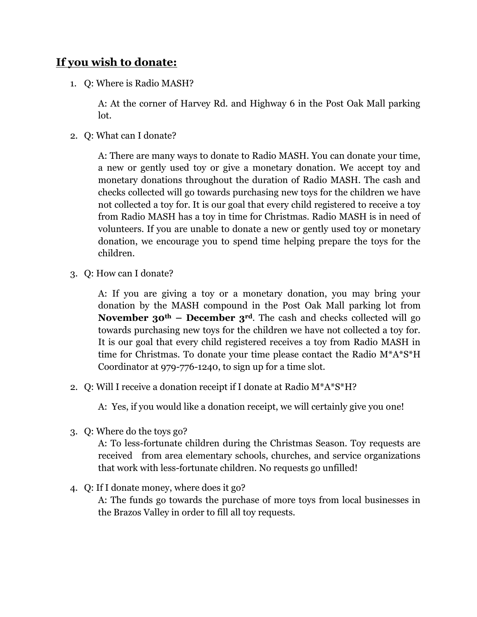## **If you wish to donate:**

1. Q: Where is Radio MASH?

A: At the corner of Harvey Rd. and Highway 6 in the Post Oak Mall parking lot.

2. Q: What can I donate?

A: There are many ways to donate to Radio MASH. You can donate your time, a new or gently used toy or give a monetary donation. We accept toy and monetary donations throughout the duration of Radio MASH. The cash and checks collected will go towards purchasing new toys for the children we have not collected a toy for. It is our goal that every child registered to receive a toy from Radio MASH has a toy in time for Christmas. Radio MASH is in need of volunteers. If you are unable to donate a new or gently used toy or monetary donation, we encourage you to spend time helping prepare the toys for the children.

3. Q: How can I donate?

A: If you are giving a toy or a monetary donation, you may bring your donation by the MASH compound in the Post Oak Mall parking lot from **November 30th – December 3rd**. The cash and checks collected will go towards purchasing new toys for the children we have not collected a toy for. It is our goal that every child registered receives a toy from Radio MASH in time for Christmas. To donate your time please contact the Radio M\*A\*S\*H Coordinator at 979-776-1240, to sign up for a time slot.

2. Q: Will I receive a donation receipt if I donate at Radio M\*A\*S\*H?

A: Yes, if you would like a donation receipt, we will certainly give you one!

3. Q: Where do the toys go?

A: To less-fortunate children during the Christmas Season. Toy requests are received from area elementary schools, churches, and service organizations that work with less-fortunate children. No requests go unfilled!

4. Q: If I donate money, where does it go?

A: The funds go towards the purchase of more toys from local businesses in the Brazos Valley in order to fill all toy requests.